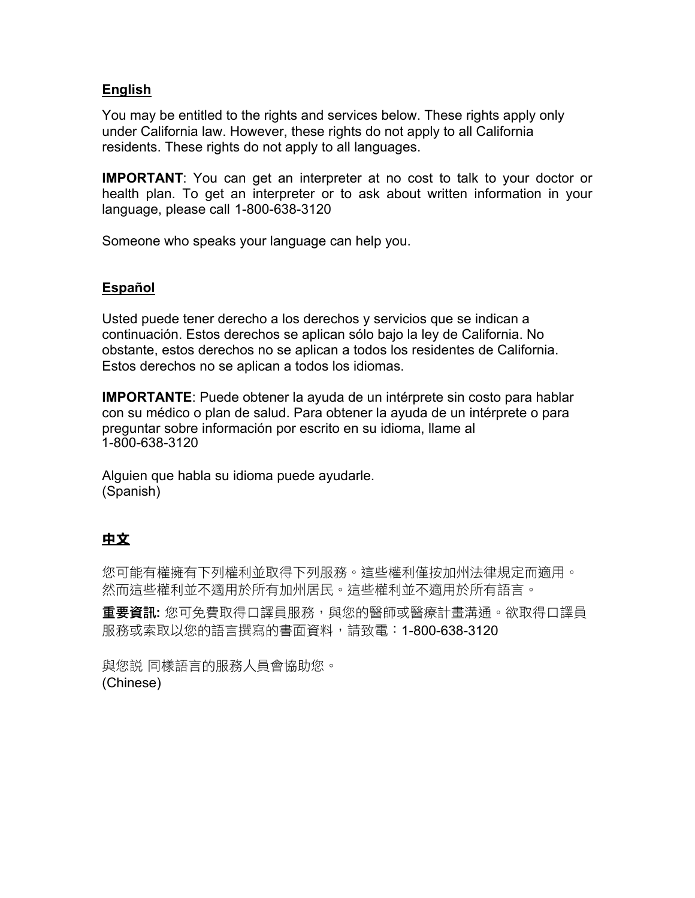#### **English**

You may be entitled to the rights and services below. These rights apply only under California law. However, these rights do not apply to all California residents. These rights do not apply to all languages.

**IMPORTANT**: You can get an interpreter at no cost to talk to your doctor or health plan. To get an interpreter or to ask about written information in your language, please call 1-800-638-3120

Someone who speaks your language can help you.

#### **Español**

Usted puede tener derecho a los derechos y servicios que se indican a continuación. Estos derechos se aplican sólo bajo la ley de California. No obstante, estos derechos no se aplican a todos los residentes de California. Estos derechos no se aplican a todos los idiomas.

**IMPORTANTE**: Puede obtener la ayuda de un intérprete sin costo para hablar con su médico o plan de salud. Para obtener la ayuda de un intérprete o para preguntar sobre información por escrito en su idioma, llame al 1-800-638-3120

Alguien que habla su idioma puede ayudarle. (Spanish)

## 中文

您可能有權擁有下列權利並取得下列服務。這些權利僅按加州法律規定而適用。 然而這些權利並不適用於所有加州居民。這些權利並不適用於所有語言。

重要資訊: 您可免費取得口譯員服務,與您的醫師或醫療計畫溝通。欲取得口譯員 服務或索取以您的語言撰寫的書面資料,請致電:1-800-638-3120

與您說 同樣語言的服務人員會協助您。 (Chinese)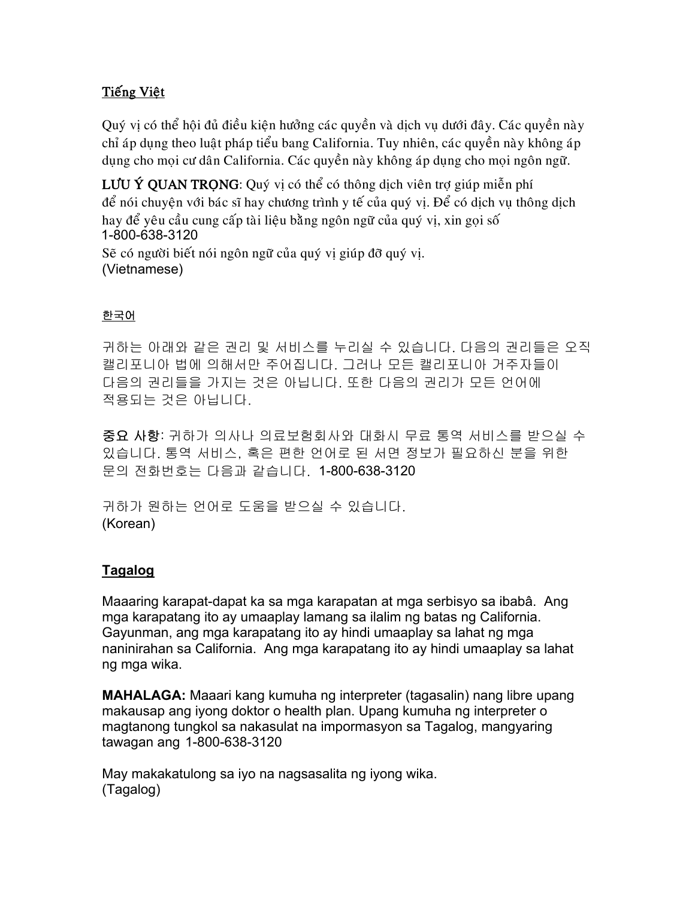## Tiếng Việt

Quý vì có thể hôi đủ điều kiện hưởng các quyền và dich vu dưới đây. Các quyền này chỉ áp dung theo luật pháp tiểu bang California. Tuy nhiên, các quyền này không áp dụng cho mọi cư dân California. Các quyền này không áp dụng cho mọi ngôn ngữ.

LƯU Ý QUAN TRONG: Quý vì có thể có thông dịch viên trơ giúp miễn phí để nói chuyện với bác sĩ hay chương trình y tế của quý vị. Để có dịch vụ thông dịch hav để vêu cầu cung cấp tài liệu bằng ngôn ngữ của quý vị, xin gọi số 1-800-638-3120 Sẽ có người biết nói ngôn ngữ của quý vi giúp đỡ quý vì. (Vietnamese)

#### 한국어

귀하는 아래와 같은 권리 및 서비스를 누리실 수 있습니다. 다음의 권리들은 오직 캘리포니아 법에 의해서만 주어집니다. 그러나 모든 캘리포니아 거주자들이 다음의 권리들을 가지는 것은 아닙니다. 또한 다음의 권리가 모든 언어에 적용되는 것은 아닙니다.

중요 사항: 귀하가 의사나 의료보험회사와 대화시 무료 통역 서비스를 받으실 수 있습니다. 통역 서비스, 혹은 편한 언어로 된 서면 정보가 필요하신 분을 위한 문의 전화번호는 다음과 같습니다. 1-800-638-3120

귀하가 원하는 언어로 도움을 받으실 수 있습니다. (Korean)

#### **Tagalog**

Maaaring karapat-dapat ka sa mga karapatan at mga serbisyo sa ibabâ. Ang mga karapatang ito ay umaaplay lamang sa ilalim ng batas ng California. Gayunman, ang mga karapatang ito ay hindi umaaplay sa lahat ng mga naninirahan sa California. Ang mga karapatang ito ay hindi umaaplay sa lahat ng mga wika.

**MAHALAGA:** Maaari kang kumuha ng interpreter (tagasalin) nang libre upang makausap ang iyong doktor o health plan. Upang kumuha ng interpreter o magtanong tungkol sa nakasulat na impormasyon sa Tagalog, mangyaring tawagan ang 1-800-638-3120

May makakatulong sa iyo na nagsasalita ng iyong wika. (Tagalog)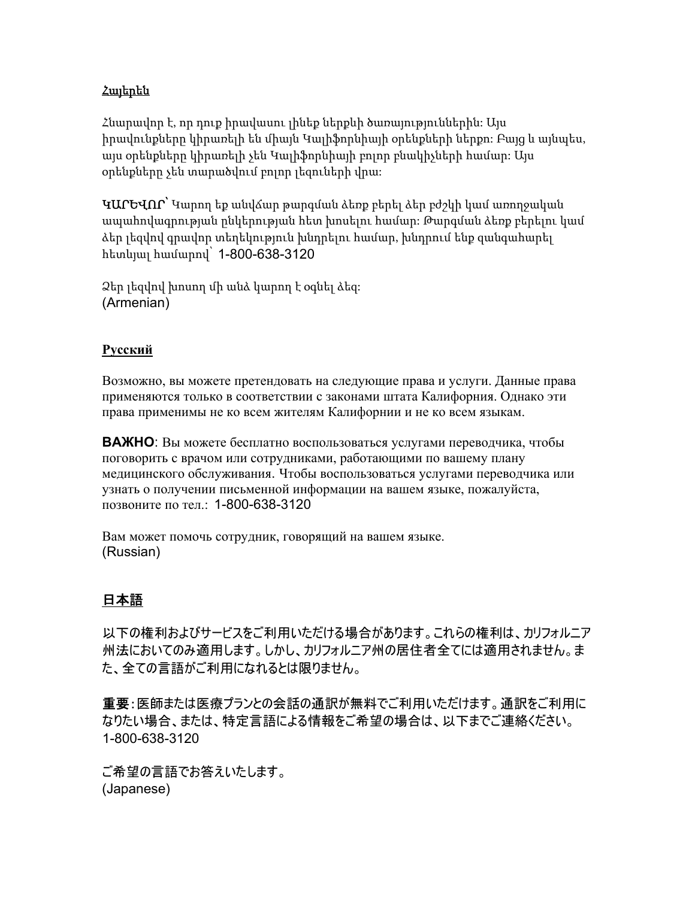#### Հայերեն

Հնարավոր է, որ դուք իրավասու լինեք ներքևի ծառայություններին: Այս իրավունքները կիրառելի են միայն Կալիֆորնիայի օրենքների ներքո: Բայց և այնպես, այս օրենքները կիրառելի չեն Կալիֆորնիայի բոլոր բնակիչների համար: Այս օրենքները չեն տարածվում բոլոր լեզուների վրա:

ԿԱՐԵՎՈՐ՝ Կարող եք անվճար թարգման ձեռք բերել ձեր բժշկի կամ առողջական ապահովագրության ընկերության հետ խոսելու համար: Թարգման ձեռք բերելու կամ ձեր լեզվով գրավոր տեղեկություն խնդրելու համար, խնդրում ենք զանգահարել հետևյալ համարով` 1-800-638-3120

Ձեր լեզվով խոսող մի անձ կարող է օգնել ձեզ: (Armenian)

#### **Русский**

Возможно, вы можете претендовать на следующие права и услуги. Данные права применяются только в соответствии с законами штата Калифорния. Однако эти права применимы не ко всем жителям Калифорнии и не ко всем языкам.

**ВАЖНО**: Вы можете бесплатно воспользоваться услугами переводчика, чтобы поговорить с врачом или сотрудниками, работающими по вашему плану медицинского обслуживания. Чтобы воспользоваться услугами переводчика или узнать о получении письменной информации на вашем языке, пожалуйста, позвоните по тел.: 1-800-638-3120

Вам может помочь сотрудник, говорящий на вашем языке. (Russian)

## 日本語

以下の権利およびサービスをご利用いただける場合があります。これらの権利は、カリフォルニア 州法においてのみ適用します。しかし、カリフォルニア州の居住者全てには適用されません。ま た、全ての言語がご利用になれるとは限りません。

重要:医師または医療プランとの会話の通訳が無料でご利用いただけます。通訳をご利用に なりたい場合、または、特定言語による情報をご希望の場合は、以下までご連絡ください。 1-800-638-3120

ご希望の言語でお答えいたします。 (Japanese)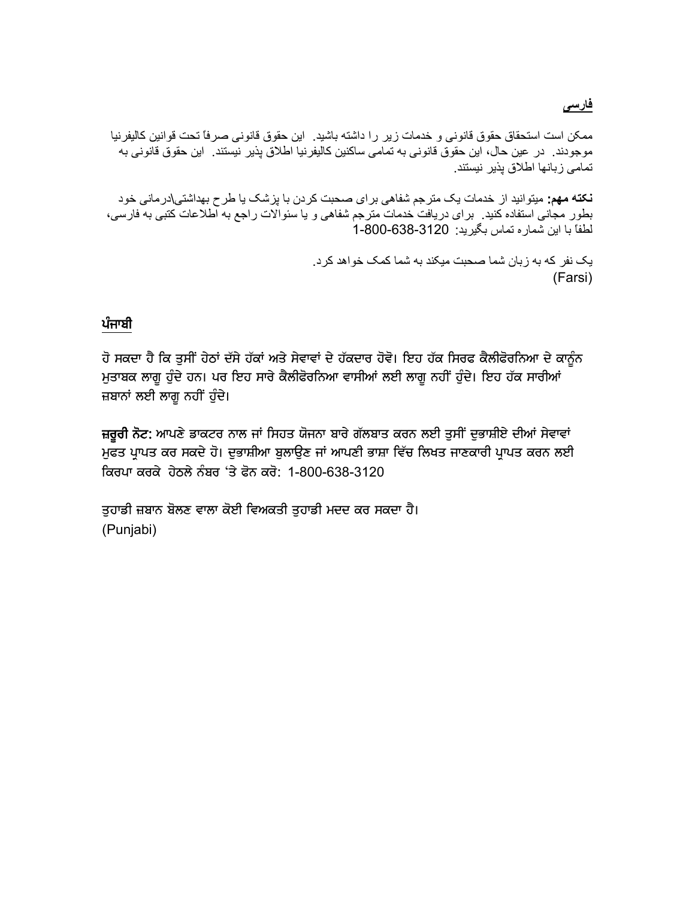#### فارسى

ممكن است استحقاق حقوق قانوني و خدمات زير را داشته باشيد ٍ اين حقوق قانوني صرفاً تحت قوانين كاليفرنيا موجودند. در ِ عين حال، اين حقوق قانوني به تمامي ساكنين كاليفرينيا اطلاق يذير نيستند. اين حقوق قانوني به تمامى زبانها اطلاق يذير نيستند.

**نکته مهم:** میتوانید از خدمات یک مترجم شفاهی برای صحبت کردن با پزشک یا طرح بهداشتی\درمانی خود بطور مجاني استفاده كنيد . براي دريافت خدمات مترجم شفاهي و يا سئوالات راجع به اطلاعات كتبي به فارسي، لطفاً با اين شمار ه تماس بگيريد: 3120-638-800-1

> یک نفر که به زبان شما صحبت میکند به شما کمک خواهد کر د. (Farsi)

### ਪੰਜਾਬੀ

ਹੋ ਸਕਦਾ ਹੈ ਕਿ ਤੁਸੀਂ ਹੇਠਾਂ ਦੱਸੇ ਹੱਕਾਂ ਅਤੇ ਸੇਵਾਵਾਂ ਦੇ ਹੱਕਦਾਰ ਹੋਵੋ। ਇਹ ਹੱਕ ਸਿਰਫ ਕੈਲੀਫੋਰਨਿਆ ਦੇ ਕਾਨੂੰਨ ਮੁਤਾਬਕ ਲਾਗੂ ਹੁੰਦੇ ਹਨ। ਪਰ ਇਹ ਸਾਰੇ ਕੈਲੀਫੋਰਨਿਆ ਵਾਸੀਆਂ ਲਈ ਲਾਗੂ ਨਹੀਂ ਹੁੰਦੇ। ਇਹ ਹੱਕ ਸਾਰੀਆਂ ਜ਼ਬਾਨਾਂ ਲਈ ਲਾਗ ਨਹੀਂ ਹੰਦੇ।

ਜ਼ਰੂਰੀ ਨੋਟ: ਆਪਣੇ ਡਾਕਟਰ ਨਾਲ ਜਾਂ ਸਿਹਤ ਯੋਜਨਾ ਬਾਰੇ ਗੱਲਬਾਤ ਕਰਨ ਲਈ ਤੁਸੀਂ ਦੁਭਾਸ਼ੀਏ ਦੀਆਂ ਸੇਵਾਵਾਂ ਮੁਫਤ ਪ੍ਰਾਪਤ ਕਰ ਸਕਦੇ ਹੋ। ਦੁਭਾਸ਼ੀਆ ਬੁਲਾਉਣ ਜਾਂ ਆਪਣੀ ਭਾਸ਼ਾ ਵਿੱਚ ਲਿਖਤ ਜਾਣਕਾਰੀ ਪ੍ਰਾਪਤ ਕਰਨ ਲਈ ਕਿਰਪਾ ਕਰਕੇ ਹੇਠਲੇ ਨੰਬਰ 'ਤੇ ਫੋਨ ਕਰੋ: 1-800-638-3120

ਤੁਹਾਡੀ ਜ਼ਬਾਨ ਬੋਲਣ ਵਾਲਾ ਕੋਈ ਵਿਅਕਤੀ ਤੁਹਾਡੀ ਮਦਦ ਕਰ ਸਕਦਾ ਹੈ। (Punjabi)